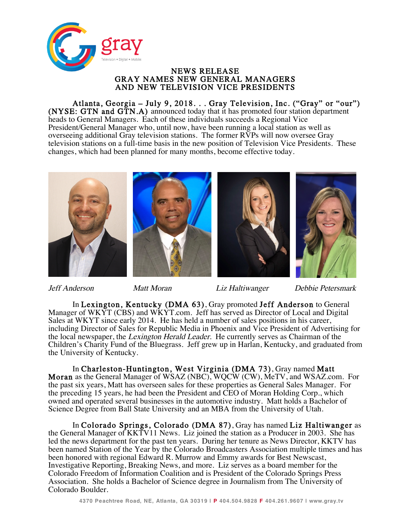

## NEWS RELEASE<br>GRAY NAMES NEW GENERAL MANAGERS<br>AND NEW TELEVISION VICE PRESIDENTS

Atlanta, Georgia – July 9, 2018. . . Gray Television, Inc. ("Gray" or "our") (NYSE: GTN and GTN.A) announced today that it has promoted four station department heads to General Managers. Each of these individuals succeeds a Regional Vice President/General Manager who, until now, have been running a local station as well as overseeing additional Gray television stations. The former RVPs will now oversee Gray television stations on a full-time basis in the new position of Television Vice Presidents. These changes, which had been planned for many months, become effective today.



Jeff Anderson Matt Moran Liz Haltiwanger Debbie Petersmark

In Lexington, Kentucky (DMA 63), Gray promoted Jeff Anderson to General Manager of WKYT (CBS) and WKYT.com. Jeff has served as Director of Local and Digital Sales at WKYT since early 2014. He has held a number of sales positions in his career, including Director of Sales for Republic Media in Phoenix and Vice President of Advertising for the local newspaper, the Lexington Herald Leader. He currently serves as Chairman of the Children's Charity Fund of the Bluegrass. Jeff grew up in Harlan, Kentucky, and graduated from the University of Kentucky.

In Charleston-Huntington, West Virginia (DMA 73), Gray named Matt Moran as the General Manager of WSAZ (NBC), WQCW (CW), MeTV, and WSAZ.com. For the past six years, Matt has overseen sales for these properties as General Sales Manager. For the preceding 15 years, he had been the President and CEO of Moran Holding Corp., which owned and operated several businesses in the automotive industry. Matt holds a Bachelor of Science Degree from Ball State University and an MBA from the University of Utah.

In Colorado Springs, Colorado (DMA 87), Gray has named Liz Haltiwanger as the General Manager of KKTV11 News. Liz joined the station as a Producer in 2003. She has led the news department for the past ten years. During her tenure as News Director, KKTV has been named Station of the Year by the Colorado Broadcasters Association multiple times and has been honored with regional Edward R. Murrow and Emmy awards for Best Newscast, Investigative Reporting, Breaking News, and more. Liz serves as a board member for the Colorado Freedom of Information Coalition and is President of the Colorado Springs Press Association. She holds a Bachelor of Science degree in Journalism from The University of Colorado Boulder.